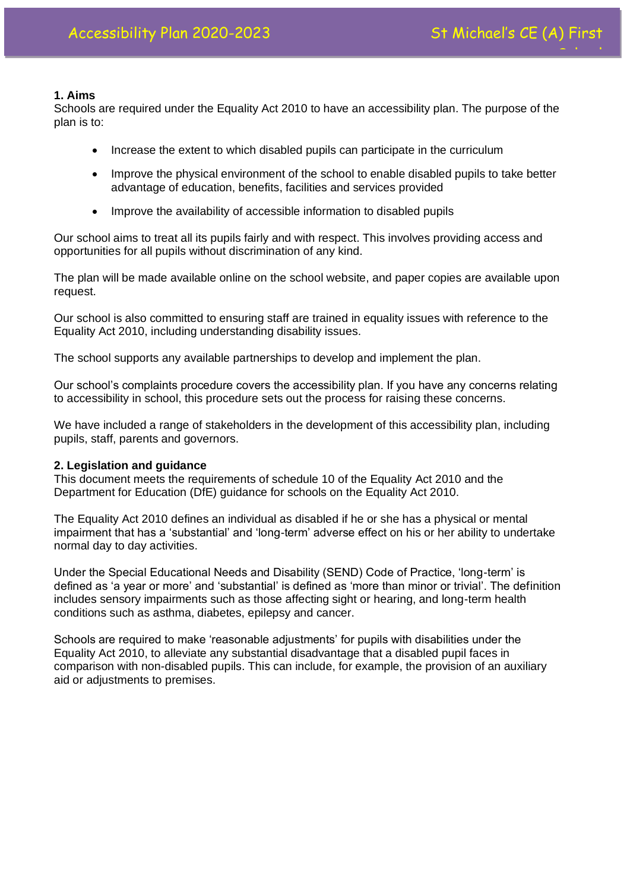### **1. Aims**

Schools are required under the Equality Act 2010 to have an accessibility plan. The purpose of the plan is to:

- Increase the extent to which disabled pupils can participate in the curriculum
- Improve the physical environment of the school to enable disabled pupils to take better advantage of education, benefits, facilities and services provided
- Improve the availability of accessible information to disabled pupils

Our school aims to treat all its pupils fairly and with respect. This involves providing access and opportunities for all pupils without discrimination of any kind.

The plan will be made available online on the school website, and paper copies are available upon request.

Our school is also committed to ensuring staff are trained in equality issues with reference to the Equality Act 2010, including understanding disability issues.

The school supports any available partnerships to develop and implement the plan.

Our school's complaints procedure covers the accessibility plan. If you have any concerns relating to accessibility in school, this procedure sets out the process for raising these concerns.

We have included a range of stakeholders in the development of this accessibility plan, including pupils, staff, parents and governors.

#### **2. Legislation and guidance**

This document meets the requirements of schedule 10 of the Equality Act 2010 and the Department for Education (DfE) guidance for schools on the Equality Act 2010.

The Equality Act 2010 defines an individual as disabled if he or she has a physical or mental impairment that has a 'substantial' and 'long-term' adverse effect on his or her ability to undertake normal day to day activities.

Under the Special Educational Needs and Disability (SEND) Code of Practice, 'long-term' is defined as 'a year or more' and 'substantial' is defined as 'more than minor or trivial'. The definition includes sensory impairments such as those affecting sight or hearing, and long-term health conditions such as asthma, diabetes, epilepsy and cancer.

Schools are required to make 'reasonable adjustments' for pupils with disabilities under the Equality Act 2010, to alleviate any substantial disadvantage that a disabled pupil faces in comparison with non-disabled pupils. This can include, for example, the provision of an auxiliary aid or adiustments to premises.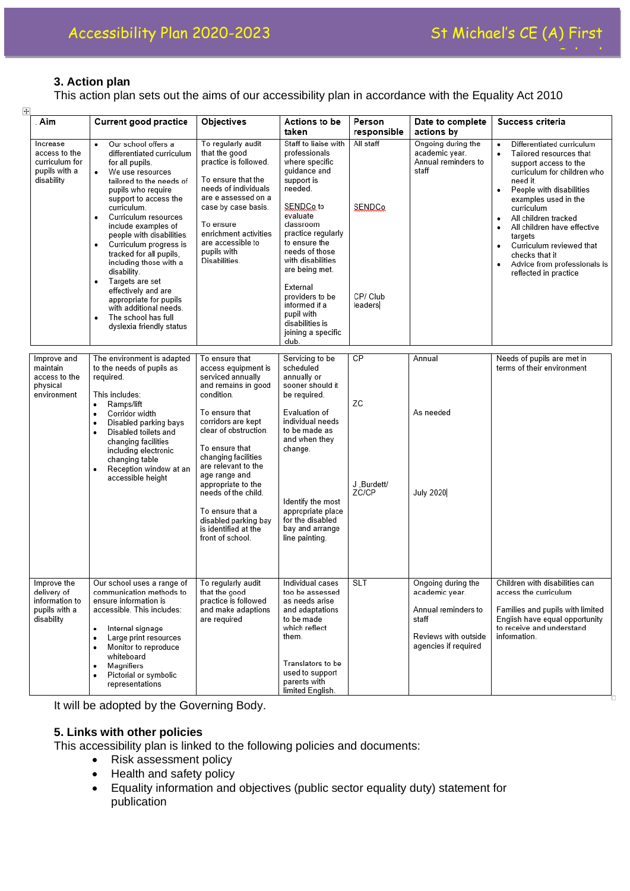

# **3. Action plan**

This action plan sets out the aims of our accessibility plan in accordance with the Equality Act 2010

| 匝<br>. Aim                                                                  | <b>Current good practice</b>                                                                                                                                                                                                                                                                                                                                                                                                                                                                                                             | Objectives                                                                                                                                                                                                                                                                                                                                                                             | Actions to be<br>taken                                                                                                                                                                                                                                                                                                                                 | Person<br>responsible                      | Date to complete<br>actions by                                                                                       | Success criteria                                                                                                                                                                                                                                                                                                                                                                                        |
|-----------------------------------------------------------------------------|------------------------------------------------------------------------------------------------------------------------------------------------------------------------------------------------------------------------------------------------------------------------------------------------------------------------------------------------------------------------------------------------------------------------------------------------------------------------------------------------------------------------------------------|----------------------------------------------------------------------------------------------------------------------------------------------------------------------------------------------------------------------------------------------------------------------------------------------------------------------------------------------------------------------------------------|--------------------------------------------------------------------------------------------------------------------------------------------------------------------------------------------------------------------------------------------------------------------------------------------------------------------------------------------------------|--------------------------------------------|----------------------------------------------------------------------------------------------------------------------|---------------------------------------------------------------------------------------------------------------------------------------------------------------------------------------------------------------------------------------------------------------------------------------------------------------------------------------------------------------------------------------------------------|
| Increase<br>access to the<br>curriculum for<br>pupils with a<br>disability  | Our school offers a<br>differentiated curriculum<br>for all pupils.<br>We use resources<br>tailored to the needs of<br>pupils who require<br>support to access the<br>curriculum.<br>Curriculum resources<br>٠<br>include examples of<br>people with disabilities.<br>Curriculum progress is<br>٠<br>tracked for all pupils.<br>including those with a<br>disability.<br>Targets are set<br>$\bullet$<br>effectively and are<br>appropriate for pupils<br>with additional needs.<br>The school has full<br>٠<br>dyslexia friendly status | To regularly audit<br>that the good<br>practice is followed.<br>To ensure that the<br>needs of individuals<br>are e assessed on a<br>case by case basis.<br>To ensure<br>enrichment activities<br>are accessible to<br>pupils with<br>Disabilities.                                                                                                                                    | Staff to liaise with<br>professionals<br>where specific<br>guidance and<br>support is<br>needed.<br>SENDCo to<br>evaluate<br>classroom<br>practice regularly<br>to ensure the<br>needs of those<br>with disabilities<br>are being met.<br>External<br>providers to be<br>informed if a<br>pupil with<br>disabilities is<br>joining a specific<br>club. | All staff<br>SENDCo<br>CP/ Club<br>leaders | Ongoing during the<br>academic year.<br>Annual reminders to<br>staff                                                 | Differentiated curriculum<br>Tailored resources that<br>support access to the<br>curriculum for children who<br>need it.<br>People with disabilities<br>٠<br>examples used in the<br>curriculum<br>All children tracked<br>$\bullet$<br>All children have effective<br>targets<br>Curriculum reviewed that<br>$\bullet$<br>checks that it<br>Advice from professionals is<br>٠<br>reflected in practice |
| Improve and<br>maintain<br>access to the<br>physical<br>environment         | The environment is adapted<br>to the needs of pupils as<br>required.<br>This includes:<br>Ramps/lift<br>٠<br>Corridor width<br>$\bullet$<br>Disabled parking bays<br>$\bullet$<br>Disabled toilets and<br>$\bullet$<br>changing facilities<br>including electronic<br>changing table<br>Reception window at an<br>$\bullet$<br>accessible height                                                                                                                                                                                         | To ensure that<br>access equipment is<br>serviced annually<br>and remains in good<br>condition.<br>To ensure that<br>corridors are kept<br>clear of obstruction.<br>To ensure that<br>changing facilities<br>are relevant to the<br>age range and<br>appropriate to the<br>needs of the child.<br>To ensure that a<br>disabled parking bay<br>is identified at the<br>front of school. | Servicing to be<br>scheduled<br>annually or<br>sooner should it<br>be required.<br>Evaluation of<br>individual needs<br>to be made as<br>and when they<br>change.<br>Identify the most<br>appropriate place<br>for the disabled<br>bay and arrange<br>line painting.                                                                                   | CP<br>ZC<br>J.Burdett/<br>ZC/CP            | Annual<br>As needed<br>July 2020                                                                                     | Needs of pupils are met in<br>terms of their environment                                                                                                                                                                                                                                                                                                                                                |
| Improve the<br>delivery of<br>information to<br>pupils with a<br>disability | Our school uses a range of<br>communication methods to<br>ensure information is<br>accessible. This includes:<br>Internal signage<br>$\bullet$<br>Large print resources<br>٠<br>Monitor to reproduce<br>٠<br>whiteboard<br>Magnifiers<br>٠<br>Pictorial or symbolic<br>٠<br>representations                                                                                                                                                                                                                                              | To regularly audit<br>that the good<br>practice is followed<br>and make adaptions<br>are required                                                                                                                                                                                                                                                                                      | Individual cases<br>too be assessed<br>as needs arise<br>and adaptations<br>to be made<br>which reflect<br>them.<br>Translators to be<br>used to support<br>parents with<br>limited English.                                                                                                                                                           | <b>SLT</b>                                 | Ongoing during the<br>academic year.<br>Annual reminders to<br>staff<br>Reviews with outside<br>agencies if required | Children with disabilities can<br>access the curriculum<br>Families and pupils with limited<br>English have equal opportunity<br>to receive and understand<br>information.                                                                                                                                                                                                                              |

It will be adopted by the Governing Body.

## **5. Links with other policies**

This accessibility plan is linked to the following policies and documents:

- Risk assessment policy
- Health and safety policy
- Equality information and objectives (public sector equality duty) statement for publication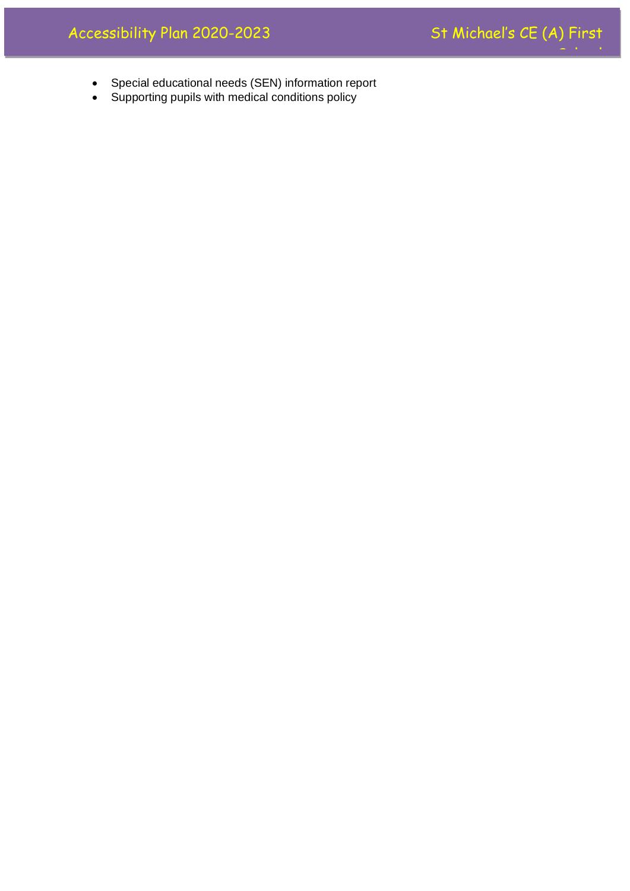

- Special educational needs (SEN) information report
- Supporting pupils with medical conditions policy